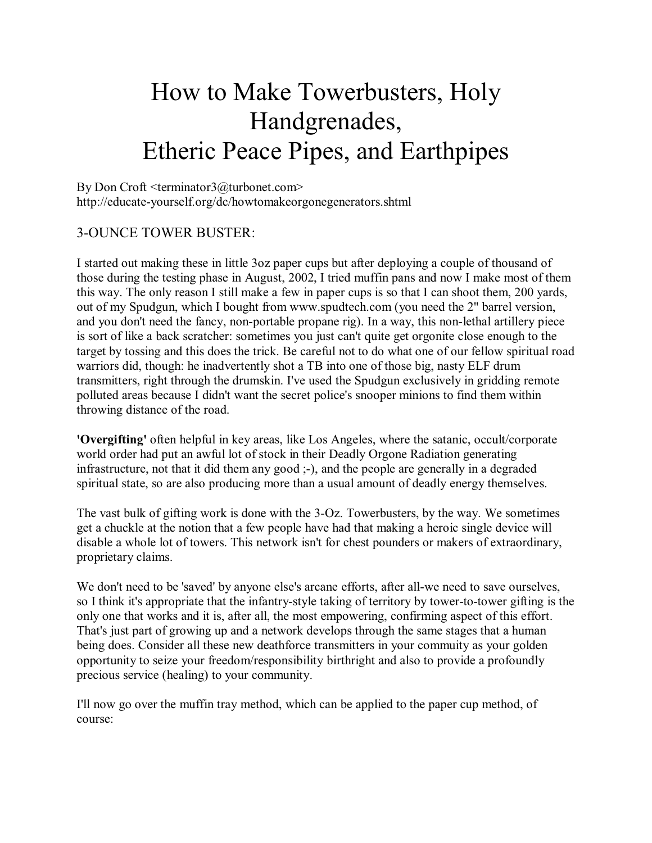# How to Make Towerbusters, Holy Handgrenades, **Etheric Peace Pipes, and Earthpipes**

By Don Croft <terminator3@turbonet.com> http://educate-yourself.org/dc/howtomakeorgonegenerators.shtml

## **3-OUNCE TOWER BUSTER:**

I started out making these in little 3oz paper cups but after deploying a couple of thousand of those during the testing phase in August, 2002, I tried muffin pans and now I make most of them this way. The only reason I still make a few in paper cups is so that I can shoot them, 200 yards, out of my Spudgun, which I bought from www.spudtech.com (you need the 2" barrel version, and you don't need the fancy, non-portable propane rig). In a way, this non-lethal artillery piece is sort of like a back scratcher: sometimes you just can't quite get orgonite close enough to the target by tossing and this does the trick. Be careful not to do what one of our fellow spiritual road warriors did, though: he inadvertently shot a TB into one of those big, nasty ELF drum transmitters, right through the drumskin. I've used the Spudgun exclusively in gridding remote polluted areas because I didn't want the secret police's snooper minions to find them within throwing distance of the road.

'Overgifting' often helpful in key areas, like Los Angeles, where the satanic, occult/corporate world order had put an awful lot of stock in their Deadly Orgone Radiation generating infrastructure, not that it did them any good;-), and the people are generally in a degraded spiritual state, so are also producing more than a usual amount of deadly energy themselves.

The vast bulk of gifting work is done with the 3-Oz. Towerbusters, by the way. We sometimes get a chuckle at the notion that a few people have had that making a heroic single device will disable a whole lot of towers. This network isn't for chest pounders or makers of extraordinary, proprietary claims.

We don't need to be 'saved' by anyone else's arcane efforts, after all-we need to save ourselves, so I think it's appropriate that the infantry-style taking of territory by tower-to-tower gifting is the only one that works and it is, after all, the most empowering, confirming aspect of this effort. That's just part of growing up and a network develops through the same stages that a human being does. Consider all these new deathforce transmitters in your commuity as your golden opportunity to seize your freedom/responsibility birthright and also to provide a profoundly precious service (healing) to your community.

I'll now go over the muffin tray method, which can be applied to the paper cup method, of course: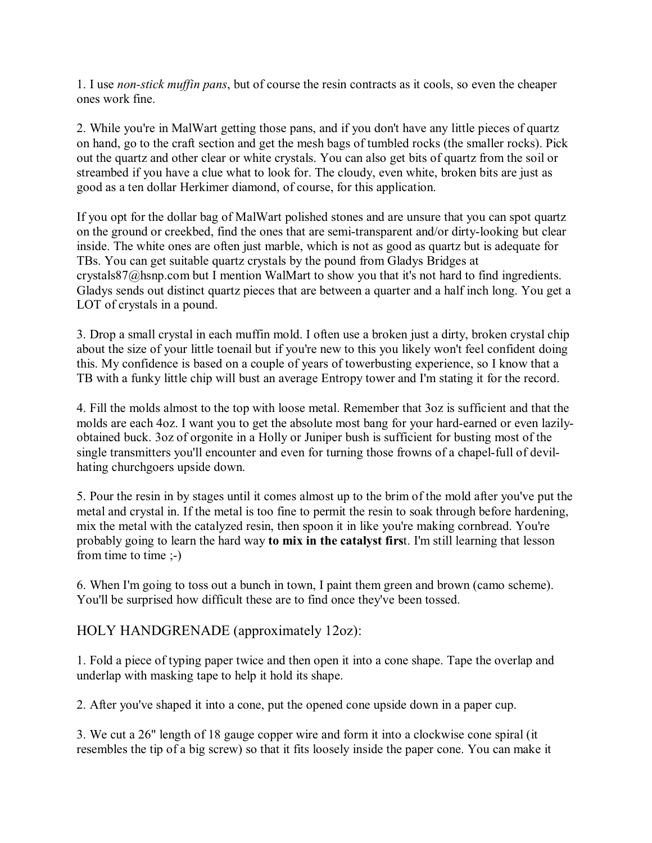1. I use *non-stick muffin pans*, but of course the resin contracts as it cools, so even the cheaper ones work fine.

2. While you're in MalWart getting those pans, and if you don't have any little pieces of quartz on hand, go to the craft section and get the mesh bags of tumbled rocks (the smaller rocks). Pick out the quartz and other clear or white crystals. You can also get bits of quartz from the soil or streambed if you have a clue what to look for. The cloudy, even white, broken bits are just as good as a ten dollar Herkimer diamond, of course, for this application.

If you opt for the dollar bag of MalWart polished stones and are unsure that you can spot quartz on the ground or creekbed, find the ones that are semi-transparent and/or dirty-looking but clear inside. The white ones are often just marble, which is not as good as quartz but is adequate for TBs. You can get suitable quartz crystals by the pound from Gladys Bridges at crystals87@hsnp.com but I mention WalMart to show you that it's not hard to find ingredients. Gladys sends out distinct quartz pieces that are between a quarter and a half inch long. You get a LOT of crystals in a pound.

3. Drop a small crystal in each muffin mold. I often use a broken just a dirty, broken crystal chip about the size of your little toenail but if you're new to this you likely won't feel confident doing this. My confidence is based on a couple of years of towerbusting experience, so I know that a TB with a funky little chip will bust an average Entropy tower and I'm stating it for the record.

4. Fill the molds almost to the top with loose metal. Remember that 3oz is sufficient and that the molds are each 4oz. I want you to get the absolute most bang for your hard-earned or even lazilyobtained buck. 3oz of orgonite in a Holly or Juniper bush is sufficient for busting most of the single transmitters you'll encounter and even for turning those frowns of a chapel-full of devilhating churchgoers upside down.

5. Pour the resin in by stages until it comes almost up to the brim of the mold after you've put the metal and crystal in. If the metal is too fine to permit the resin to soak through before hardening, mix the metal with the catalyzed resin, then spoon it in like you're making cornbread. You're probably going to learn the hard way to mix in the catalyst first. I'm still learning that lesson from time to time  $;-)$ 

6. When I'm going to toss out a bunch in town, I paint them green and brown (camo scheme). You'll be surprised how difficult these are to find once they've been tossed.

## HOLY HANDGRENADE (approximately 12oz):

1. Fold a piece of typing paper twice and then open it into a cone shape. Tape the overlap and underlap with masking tape to help it hold its shape.

2. After you've shaped it into a cone, put the opened cone upside down in a paper cup.

3. We cut a 26" length of 18 gauge copper wire and form it into a clockwise cone spiral (it resembles the tip of a big screw) so that it fits loosely inside the paper cone. You can make it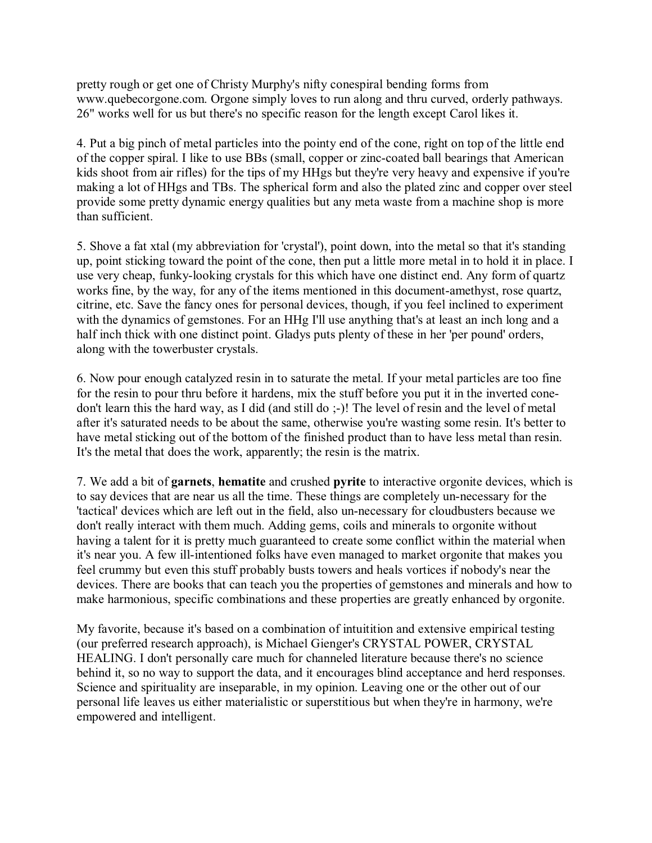pretty rough or get one of Christy Murphy's nifty conespiral bending forms from www.quebecorgone.com. Orgone simply loves to run along and thru curved, orderly pathways. 26" works well for us but there's no specific reason for the length except Carol likes it.

4. Put a big pinch of metal particles into the pointy end of the cone, right on top of the little end of the copper spiral. I like to use BBs (small, copper or zinc-coated ball bearings that American kids shoot from air rifles) for the tips of my HHgs but they're very heavy and expensive if you're making a lot of HHgs and TBs. The spherical form and also the plated zinc and copper over steel provide some pretty dynamic energy qualities but any meta waste from a machine shop is more than sufficient.

5. Shove a fat xtal (my abbreviation for 'crystal'), point down, into the metal so that it's standing up, point sticking toward the point of the cone, then put a little more metal in to hold it in place. I use very cheap, funky-looking crystals for this which have one distinct end. Any form of quartz works fine, by the way, for any of the items mentioned in this document-amethyst, rose quartz, citrine, etc. Save the fancy ones for personal devices, though, if you feel inclined to experiment with the dynamics of gemstones. For an HHg I'll use anything that's at least an inch long and a half inch thick with one distinct point. Gladys puts plenty of these in her 'per pound' orders, along with the towerbuster crystals.

6. Now pour enough catalyzed resin in to saturate the metal. If your metal particles are too fine for the resin to pour thru before it hardens, mix the stuff before you put it in the inverted conedon't learn this the hard way, as I did (and still do ;-)! The level of resin and the level of metal after it's saturated needs to be about the same, otherwise you're wasting some resin. It's better to have metal sticking out of the bottom of the finished product than to have less metal than resin. It's the metal that does the work, apparently; the resin is the matrix.

7. We add a bit of **garnets**, **hematite** and crushed **pyrite** to interactive orgonite devices, which is to say devices that are near us all the time. These things are completely un-necessary for the 'tactical' devices which are left out in the field, also un-necessary for cloudbusters because we don't really interact with them much. Adding gems, coils and minerals to orgonite without having a talent for it is pretty much guaranteed to create some conflict within the material when it's near you. A few ill-intentioned folks have even managed to market orgonite that makes you feel crummy but even this stuff probably busts towers and heals vortices if nobody's near the devices. There are books that can teach you the properties of gemstones and minerals and how to make harmonious, specific combinations and these properties are greatly enhanced by orgonite.

My favorite, because it's based on a combination of intuition and extensive empirical testing (our preferred research approach), is Michael Gienger's CRYSTAL POWER, CRYSTAL HEALING. I don't personally care much for channeled literature because there's no science behind it, so no way to support the data, and it encourages blind acceptance and herd responses. Science and spirituality are inseparable, in my opinion. Leaving one or the other out of our personal life leaves us either materialistic or superstitious but when they're in harmony, we're empowered and intelligent.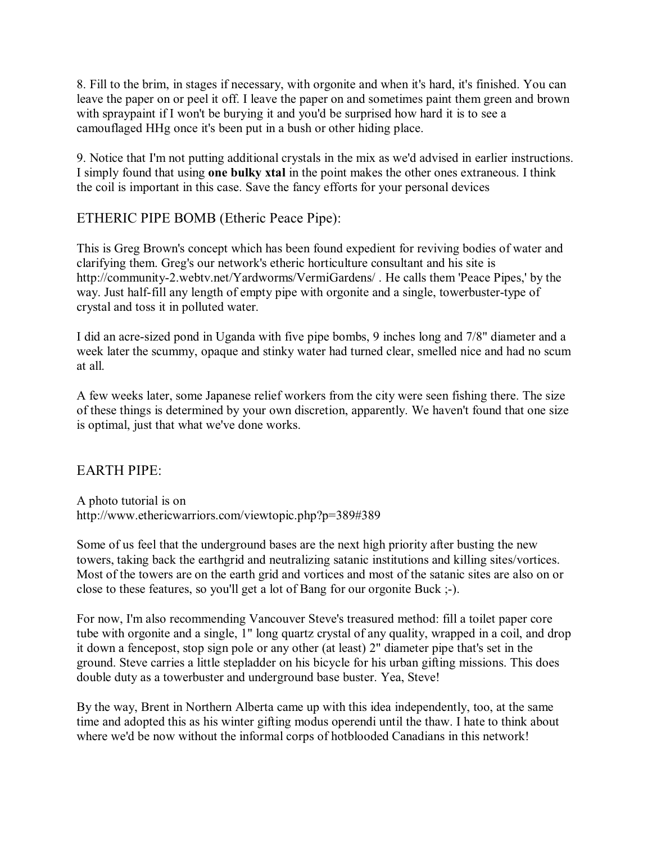8. Fill to the brim, in stages if necessary, with orgonite and when it's hard, it's finished. You can leave the paper on or peel it off. I leave the paper on and sometimes paint them green and brown with spraypaint if I won't be burying it and you'd be surprised how hard it is to see a camouflaged HHg once it's been put in a bush or other hiding place.

9. Notice that I'm not putting additional crystals in the mix as we'd advised in earlier instructions. I simply found that using one bulky xtal in the point makes the other ones extraneous. I think the coil is important in this case. Save the fancy efforts for your personal devices

## ETHERIC PIPE BOMB (Etheric Peace Pipe):

This is Greg Brown's concept which has been found expedient for reviving bodies of water and clarifying them. Greg's our network's etheric horticulture consultant and his site is http://community-2.webtv.net/Yardworms/VermiGardens/. He calls them 'Peace Pipes,' by the way. Just half-fill any length of empty pipe with orgonite and a single, towerbuster-type of crystal and toss it in polluted water.

I did an acre-sized pond in Uganda with five pipe bombs, 9 inches long and 7/8" diameter and a week later the scummy, opaque and stinky water had turned clear, smelled nice and had no scum at all.

A few weeks later, some Japanese relief workers from the city were seen fishing there. The size of these things is determined by your own discretion, apparently. We haven't found that one size is optimal, just that what we've done works.

#### **EARTH PIPE:**

A photo tutorial is on http://www.ethericwarriors.com/viewtopic.php?p=389#389

Some of us feel that the underground bases are the next high priority after busting the new towers, taking back the earthgrid and neutralizing satanic institutions and killing sites/vortices. Most of the towers are on the earth grid and vortices and most of the satanic sites are also on or close to these features, so you'll get a lot of Bang for our orgonite Buck :-).

For now, I'm also recommending Vancouver Steve's treasured method: fill a toilet paper core tube with orgonite and a single, 1" long quartz crystal of any quality, wrapped in a coil, and drop it down a fencepost, stop sign pole or any other (at least) 2" diameter pipe that's set in the ground. Steve carries a little stepladder on his bicycle for his urban gifting missions. This does double duty as a towerbuster and underground base buster. Yea, Steve!

By the way, Brent in Northern Alberta came up with this idea independently, too, at the same time and adopted this as his winter gifting modus operendi until the thaw. I hate to think about where we'd be now without the informal corps of hotblooded Canadians in this network!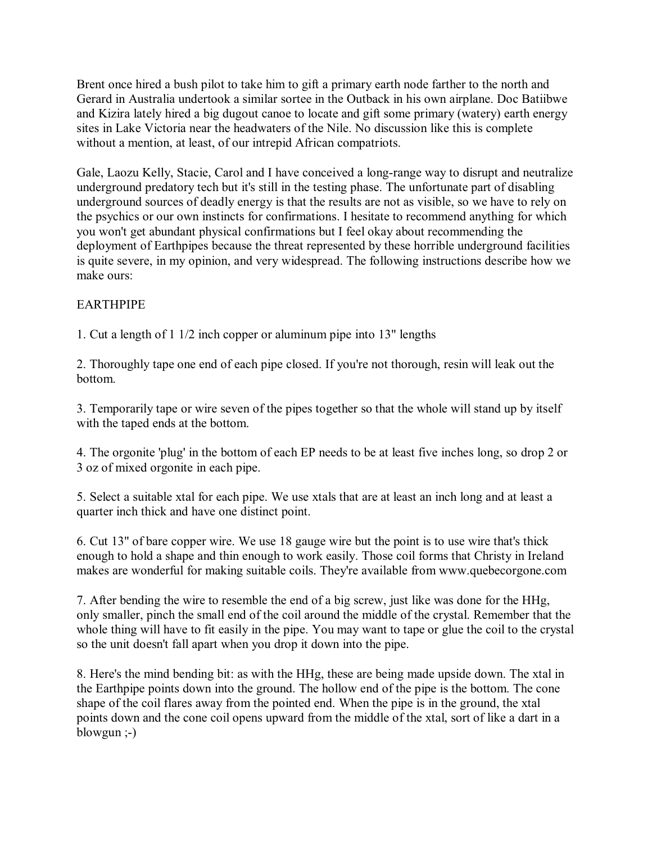Brent once hired a bush pilot to take him to gift a primary earth node farther to the north and Gerard in Australia undertook a similar sortee in the Outback in his own airplane. Doc Batiibwe and Kizira lately hired a big dugout canoe to locate and gift some primary (watery) earth energy sites in Lake Victoria near the headwaters of the Nile. No discussion like this is complete without a mention, at least, of our intrepid African compatriots.

Gale, Laozu Kelly, Stacie, Carol and I have conceived a long-range way to disrupt and neutralize underground predatory tech but it's still in the testing phase. The unfortunate part of disabling underground sources of deadly energy is that the results are not as visible, so we have to rely on the psychics or our own instincts for confirmations. I hesitate to recommend anything for which you won't get abundant physical confirmations but I feel okay about recommending the deployment of Earthpipes because the threat represented by these horrible underground facilities is quite severe, in my opinion, and very widespread. The following instructions describe how we make ours:

#### **EARTHPIPE**

1. Cut a length of 1 1/2 inch copper or aluminum pipe into 13" lengths

2. Thoroughly tape one end of each pipe closed. If you're not thorough, resin will leak out the bottom.

3. Temporarily tape or wire seven of the pipes together so that the whole will stand up by itself with the taped ends at the bottom.

4. The orgonite 'plug' in the bottom of each EP needs to be at least five inches long, so drop 2 or 3 oz of mixed orgonite in each pipe.

5. Select a suitable xtal for each pipe. We use xtals that are at least an inch long and at least a quarter inch thick and have one distinct point.

6. Cut 13" of bare copper wire. We use 18 gauge wire but the point is to use wire that's thick enough to hold a shape and thin enough to work easily. Those coil forms that Christy in Ireland makes are wonderful for making suitable coils. They're available from www.quebecorgone.com

7. After bending the wire to resemble the end of a big screw, just like was done for the HHg, only smaller, pinch the small end of the coil around the middle of the crystal. Remember that the whole thing will have to fit easily in the pipe. You may want to tape or glue the coil to the crystal so the unit doesn't fall apart when you drop it down into the pipe.

8. Here's the mind bending bit: as with the HHg, these are being made upside down. The xtal in the Earthpipe points down into the ground. The hollow end of the pipe is the bottom. The cone shape of the coil flares away from the pointed end. When the pipe is in the ground, the xtal points down and the cone coil opens upward from the middle of the xtal, sort of like a dart in a blowgun  $(-)$